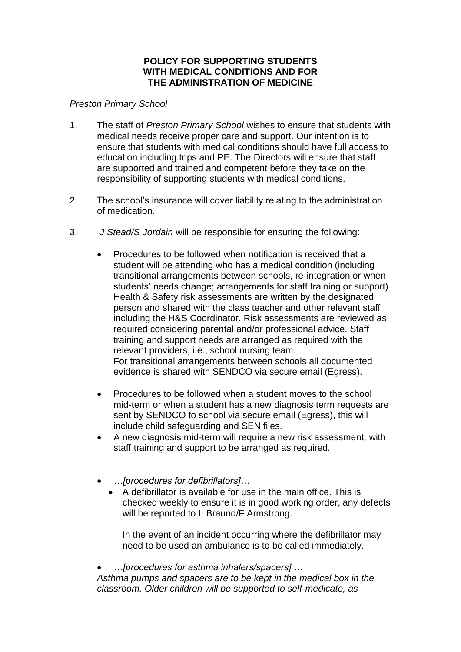## **POLICY FOR SUPPORTING STUDENTS WITH MEDICAL CONDITIONS AND FOR THE ADMINISTRATION OF MEDICINE**

## *Preston Primary School*

- 1. The staff of *Preston Primary School* wishes to ensure that students with medical needs receive proper care and support. Our intention is to ensure that students with medical conditions should have full access to education including trips and PE. The Directors will ensure that staff are supported and trained and competent before they take on the responsibility of supporting students with medical conditions.
- 2. The school's insurance will cover liability relating to the administration of medication.
- 3. *J Stead/S Jordain* will be responsible for ensuring the following:
	- Procedures to be followed when notification is received that a student will be attending who has a medical condition (including transitional arrangements between schools, re-integration or when students' needs change; arrangements for staff training or support) Health & Safety risk assessments are written by the designated person and shared with the class teacher and other relevant staff including the H&S Coordinator. Risk assessments are reviewed as required considering parental and/or professional advice. Staff training and support needs are arranged as required with the relevant providers, i.e., school nursing team. For transitional arrangements between schools all documented evidence is shared with SENDCO via secure email (Egress).
	- Procedures to be followed when a student moves to the school mid-term or when a student has a new diagnosis term requests are sent by SENDCO to school via secure email (Egress), this will include child safeguarding and SEN files.
	- A new diagnosis mid-term will require a new risk assessment, with staff training and support to be arranged as required.
	- *…[procedures for defibrillators]…*
		- A defibrillator is available for use in the main office. This is checked weekly to ensure it is in good working order, any defects will be reported to L Braund/F Armstrong.

In the event of an incident occurring where the defibrillator may need to be used an ambulance is to be called immediately.

• *…[procedures for asthma inhalers/spacers] … Asthma pumps and spacers are to be kept in the medical box in the classroom. Older children will be supported to self-medicate, as*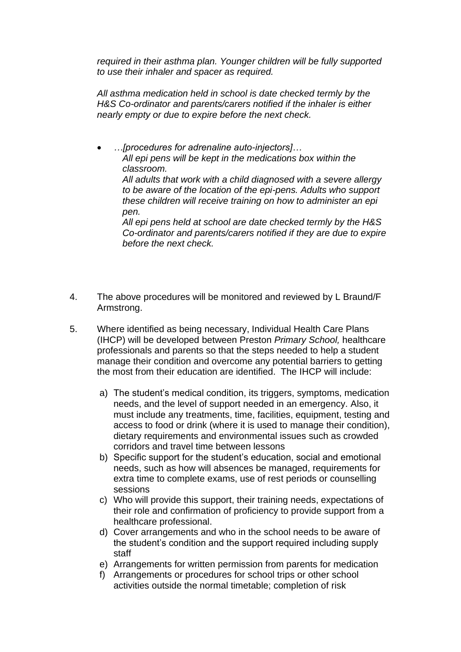*required in their asthma plan. Younger children will be fully supported to use their inhaler and spacer as required.*

*All asthma medication held in school is date checked termly by the H&S Co-ordinator and parents/carers notified if the inhaler is either nearly empty or due to expire before the next check.*

• *…[procedures for adrenaline auto-injectors]… All epi pens will be kept in the medications box within the classroom. All adults that work with a child diagnosed with a severe allergy to be aware of the location of the epi-pens. Adults who support these children will receive training on how to administer an epi pen. All epi pens held at school are date checked termly by the H&S* 

*Co-ordinator and parents/carers notified if they are due to expire before the next check.*

- 4. The above procedures will be monitored and reviewed by L Braund/F Armstrong.
- 5. Where identified as being necessary, Individual Health Care Plans (IHCP) will be developed between Preston *Primary School,* healthcare professionals and parents so that the steps needed to help a student manage their condition and overcome any potential barriers to getting the most from their education are identified. The IHCP will include:
	- a) The student's medical condition, its triggers, symptoms, medication needs, and the level of support needed in an emergency. Also, it must include any treatments, time, facilities, equipment, testing and access to food or drink (where it is used to manage their condition), dietary requirements and environmental issues such as crowded corridors and travel time between lessons
	- b) Specific support for the student's education, social and emotional needs, such as how will absences be managed, requirements for extra time to complete exams, use of rest periods or counselling sessions
	- c) Who will provide this support, their training needs, expectations of their role and confirmation of proficiency to provide support from a healthcare professional.
	- d) Cover arrangements and who in the school needs to be aware of the student's condition and the support required including supply staff
	- e) Arrangements for written permission from parents for medication
	- f) Arrangements or procedures for school trips or other school activities outside the normal timetable; completion of risk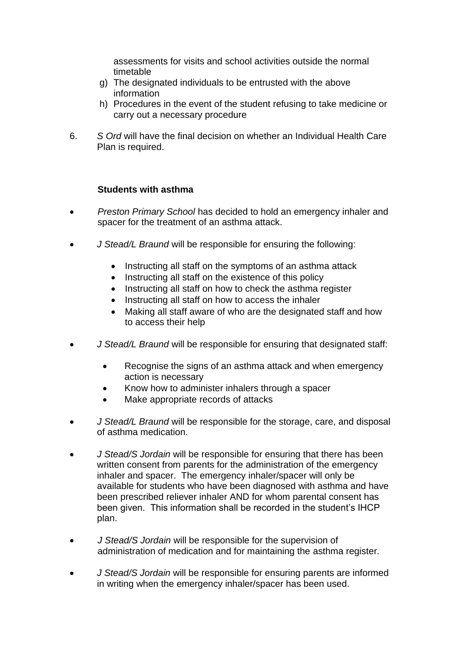assessments for visits and school activities outside the normal timetable

- g) The designated individuals to be entrusted with the above information
- h) Procedures in the event of the student refusing to take medicine or carry out a necessary procedure
- 6. *S Ord* will have the final decision on whether an Individual Health Care Plan is required.

## **Students with asthma**

- *Preston Primary School* has decided to hold an emergency inhaler and spacer for the treatment of an asthma attack.
- *J Stead/L Braund* will be responsible for ensuring the following:
	- Instructing all staff on the symptoms of an asthma attack
	- Instructing all staff on the existence of this policy
	- Instructing all staff on how to check the asthma register
	- Instructing all staff on how to access the inhaler
	- Making all staff aware of who are the designated staff and how to access their help
- *J Stead/L Braund* will be responsible for ensuring that designated staff:
	- Recognise the signs of an asthma attack and when emergency action is necessary
	- Know how to administer inhalers through a spacer
	- Make appropriate records of attacks
- *J Stead/L Braund* will be responsible for the storage, care, and disposal of asthma medication.
- *J Stead/S Jordain* will be responsible for ensuring that there has been written consent from parents for the administration of the emergency inhaler and spacer. The emergency inhaler/spacer will only be available for students who have been diagnosed with asthma and have been prescribed reliever inhaler AND for whom parental consent has been given. This information shall be recorded in the student's IHCP plan.
- *J Stead/S Jordain* will be responsible for the supervision of administration of medication and for maintaining the asthma register.
- *J Stead/S Jordain* will be responsible for ensuring parents are informed in writing when the emergency inhaler/spacer has been used.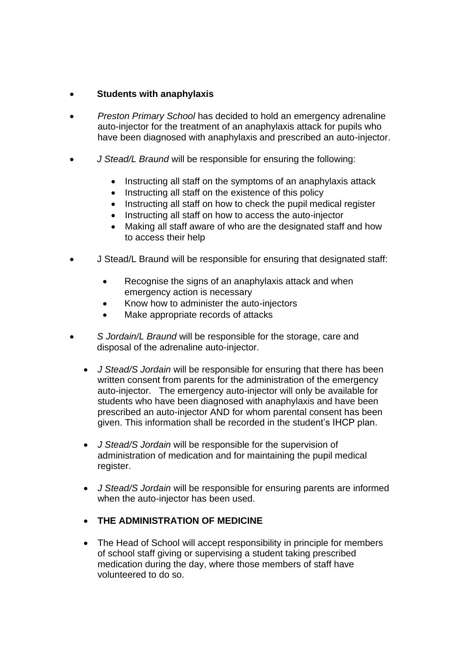## • **Students with anaphylaxis**

- *Preston Primary School* has decided to hold an emergency adrenaline auto-injector for the treatment of an anaphylaxis attack for pupils who have been diagnosed with anaphylaxis and prescribed an auto-injector.
- *J Stead/L Braund* will be responsible for ensuring the following:
	- Instructing all staff on the symptoms of an anaphylaxis attack
	- Instructing all staff on the existence of this policy
	- Instructing all staff on how to check the pupil medical register
	- Instructing all staff on how to access the auto-injector
	- Making all staff aware of who are the designated staff and how to access their help
- J Stead/L Braund will be responsible for ensuring that designated staff:
	- Recognise the signs of an anaphylaxis attack and when emergency action is necessary
	- Know how to administer the auto-injectors
	- Make appropriate records of attacks
- *S Jordain/L Braund* will be responsible for the storage, care and disposal of the adrenaline auto-injector.
	- *J Stead/S Jordain* will be responsible for ensuring that there has been written consent from parents for the administration of the emergency auto-injector. The emergency auto-injector will only be available for students who have been diagnosed with anaphylaxis and have been prescribed an auto-injector AND for whom parental consent has been given. This information shall be recorded in the student's IHCP plan.
	- *J Stead/S Jordain* will be responsible for the supervision of administration of medication and for maintaining the pupil medical register.
	- *J Stead/S Jordain* will be responsible for ensuring parents are informed when the auto-injector has been used.
	- **THE ADMINISTRATION OF MEDICINE**
	- The Head of School will accept responsibility in principle for members of school staff giving or supervising a student taking prescribed medication during the day, where those members of staff have volunteered to do so.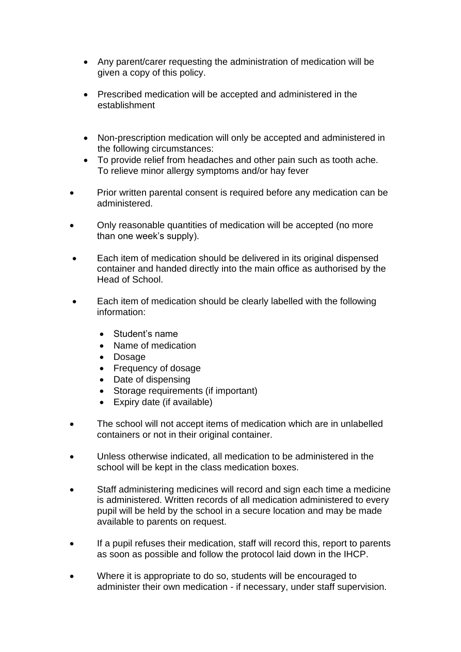- Any parent/carer requesting the administration of medication will be given a copy of this policy.
- Prescribed medication will be accepted and administered in the establishment
- Non-prescription medication will only be accepted and administered in the following circumstances:
- To provide relief from headaches and other pain such as tooth ache. To relieve minor allergy symptoms and/or hay fever
- Prior written parental consent is required before any medication can be administered.
- Only reasonable quantities of medication will be accepted (no more than one week's supply).
- Each item of medication should be delivered in its original dispensed container and handed directly into the main office as authorised by the Head of School.
- Each item of medication should be clearly labelled with the following information:
	- Student's name
	- Name of medication
	- Dosage
	- Frequency of dosage
	- Date of dispensing
	- Storage requirements (if important)
	- Expiry date (if available)
- The school will not accept items of medication which are in unlabelled containers or not in their original container.
- Unless otherwise indicated, all medication to be administered in the school will be kept in the class medication boxes.
- Staff administering medicines will record and sign each time a medicine is administered. Written records of all medication administered to every pupil will be held by the school in a secure location and may be made available to parents on request.
- If a pupil refuses their medication, staff will record this, report to parents as soon as possible and follow the protocol laid down in the IHCP.
- Where it is appropriate to do so, students will be encouraged to administer their own medication - if necessary, under staff supervision.